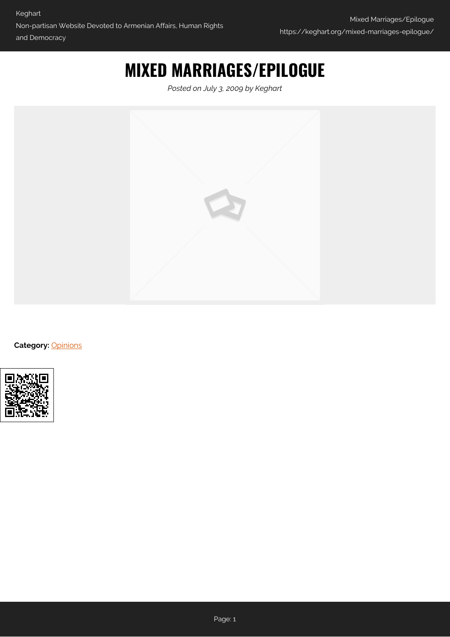## **MIXED MARRIAGES/EPILOGUE**

*Posted on July 3, 2009 by Keghart*



**Category:** [Opinions](https://keghart.org/category/opinions/)

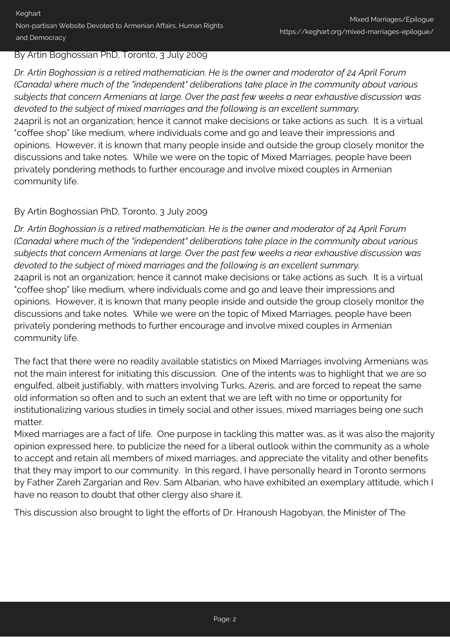## By Artin Boghossian PhD, Toronto, 3 July 2009

*Dr. Artin Boghossian is a retired mathematician. He is the owner and moderator of 24 April Forum (Canada) where much of the "independent" deliberations take place in the community about various subjects that concern Armenians at large. Over the past few weeks a near exhaustive discussion was devoted to the subject of mixed marriages and the following is an excellent summary.* 24april is not an organization; hence it cannot make decisions or take actions as such. It is a virtual "coffee shop" like medium, where individuals come and go and leave their impressions and opinions. However, it is known that many people inside and outside the group closely monitor the discussions and take notes. While we were on the topic of Mixed Marriages, people have been privately pondering methods to further encourage and involve mixed couples in Armenian community life.

## By Artin Boghossian PhD, Toronto, 3 July 2009

*Dr. Artin Boghossian is a retired mathematician. He is the owner and moderator of 24 April Forum (Canada) where much of the "independent" deliberations take place in the community about various subjects that concern Armenians at large. Over the past few weeks a near exhaustive discussion was devoted to the subject of mixed marriages and the following is an excellent summary.* 24april is not an organization; hence it cannot make decisions or take actions as such. It is a virtual "coffee shop" like medium, where individuals come and go and leave their impressions and opinions. However, it is known that many people inside and outside the group closely monitor the discussions and take notes. While we were on the topic of Mixed Marriages, people have been privately pondering methods to further encourage and involve mixed couples in Armenian community life.

The fact that there were no readily available statistics on Mixed Marriages involving Armenians was not the main interest for initiating this discussion. One of the intents was to highlight that we are so engulfed, albeit justifiably, with matters involving Turks, Azeris, and are forced to repeat the same old information so often and to such an extent that we are left with no time or opportunity for institutionalizing various studies in timely social and other issues, mixed marriages being one such matter.

Mixed marriages are a fact of life. One purpose in tackling this matter was, as it was also the majority opinion expressed here, to publicize the need for a liberal outlook within the community as a whole to accept and retain all members of mixed marriages, and appreciate the vitality and other benefits that they may import to our community. In this regard, I have personally heard in Toronto sermons by Father Zareh Zargarian and Rev. Sam Albarian, who have exhibited an exemplary attitude, which I have no reason to doubt that other clergy also share it.

This discussion also brought to light the efforts of Dr. Hranoush Hagobyan, the Minister of The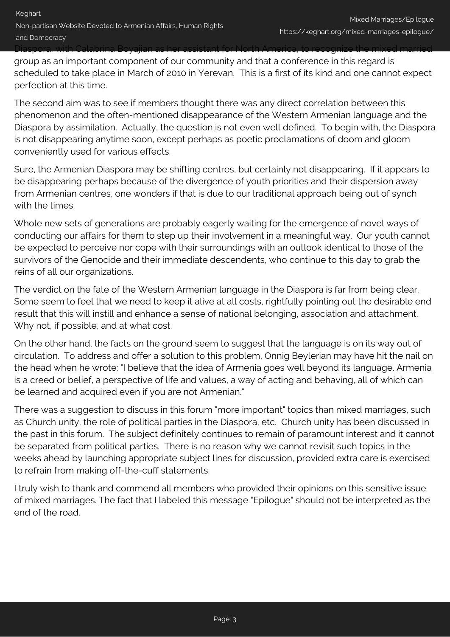Diaspora, with Calabrina Boyajian as her assistant for North America, to recognize the mixed married

group as an important component of our community and that a conference in this regard is scheduled to take place in March of 2010 in Yerevan. This is a first of its kind and one cannot expect perfection at this time.

The second aim was to see if members thought there was any direct correlation between this phenomenon and the often-mentioned disappearance of the Western Armenian language and the Diaspora by assimilation. Actually, the question is not even well defined. To begin with, the Diaspora is not disappearing anytime soon, except perhaps as poetic proclamations of doom and gloom conveniently used for various effects.

Sure, the Armenian Diaspora may be shifting centres, but certainly not disappearing. If it appears to be disappearing perhaps because of the divergence of youth priorities and their dispersion away from Armenian centres, one wonders if that is due to our traditional approach being out of synch with the times.

Whole new sets of generations are probably eagerly waiting for the emergence of novel ways of conducting our affairs for them to step up their involvement in a meaningful way. Our youth cannot be expected to perceive nor cope with their surroundings with an outlook identical to those of the survivors of the Genocide and their immediate descendents, who continue to this day to grab the reins of all our organizations.

The verdict on the fate of the Western Armenian language in the Diaspora is far from being clear. Some seem to feel that we need to keep it alive at all costs, rightfully pointing out the desirable end result that this will instill and enhance a sense of national belonging, association and attachment. Why not, if possible, and at what cost.

On the other hand, the facts on the ground seem to suggest that the language is on its way out of circulation. To address and offer a solution to this problem, Onnig Beylerian may have hit the nail on the head when he wrote: "I believe that the idea of Armenia goes well beyond its language. Armenia is a creed or belief, a perspective of life and values, a way of acting and behaving, all of which can be learned and acquired even if you are not Armenian."

There was a suggestion to discuss in this forum "more important" topics than mixed marriages, such as Church unity, the role of political parties in the Diaspora, etc. Church unity has been discussed in the past in this forum. The subject definitely continues to remain of paramount interest and it cannot be separated from political parties. There is no reason why we cannot revisit such topics in the weeks ahead by launching appropriate subject lines for discussion, provided extra care is exercised to refrain from making off-the-cuff statements.

I truly wish to thank and commend all members who provided their opinions on this sensitive issue of mixed marriages. The fact that I labeled this message "Epilogue" should not be interpreted as the end of the road.